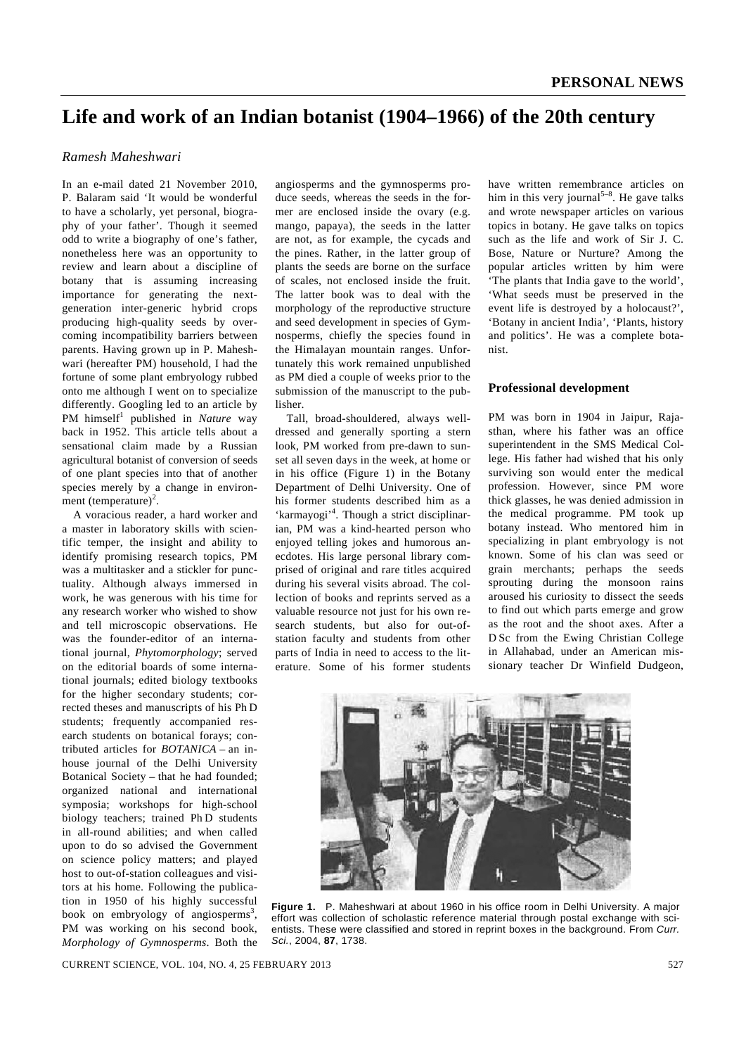# **Life and work of an Indian botanist (1904–1966) of the 20th century**

# *Ramesh Maheshwari*

In an e-mail dated 21 November 2010, P. Balaram said 'It would be wonderful to have a scholarly, yet personal, biography of your father'. Though it seemed odd to write a biography of one's father, nonetheless here was an opportunity to review and learn about a discipline of botany that is assuming increasing importance for generating the nextgeneration inter-generic hybrid crops producing high-quality seeds by overcoming incompatibility barriers between parents. Having grown up in P. Maheshwari (hereafter PM) household, I had the fortune of some plant embryology rubbed onto me although I went on to specialize differently. Googling led to an article by PM himself<sup>1</sup> published in *Nature* way back in 1952. This article tells about a sensational claim made by a Russian agricultural botanist of conversion of seeds of one plant species into that of another species merely by a change in environment (temperature)<sup>2</sup>.

 A voracious reader, a hard worker and a master in laboratory skills with scientific temper, the insight and ability to identify promising research topics, PM was a multitasker and a stickler for punctuality. Although always immersed in work, he was generous with his time for any research worker who wished to show and tell microscopic observations. He was the founder-editor of an international journal, *Phytomorphology*; served on the editorial boards of some international journals; edited biology textbooks for the higher secondary students; corrected theses and manuscripts of his Ph D students; frequently accompanied research students on botanical forays; contributed articles for *BOTANICA* – an inhouse journal of the Delhi University Botanical Society – that he had founded; organized national and international symposia; workshops for high-school biology teachers; trained Ph D students in all-round abilities; and when called upon to do so advised the Government on science policy matters; and played host to out-of-station colleagues and visitors at his home. Following the publication in 1950 of his highly successful book on embryology of angiosperms<sup>3</sup>, PM was working on his second book, *Morphology of Gymnosperms*. Both the

angiosperms and the gymnosperms produce seeds, whereas the seeds in the former are enclosed inside the ovary (e.g. mango, papaya), the seeds in the latter are not, as for example, the cycads and the pines. Rather, in the latter group of plants the seeds are borne on the surface of scales, not enclosed inside the fruit. The latter book was to deal with the morphology of the reproductive structure and seed development in species of Gymnosperms, chiefly the species found in the Himalayan mountain ranges. Unfortunately this work remained unpublished as PM died a couple of weeks prior to the submission of the manuscript to the publisher.

 Tall, broad-shouldered, always welldressed and generally sporting a stern look, PM worked from pre-dawn to sunset all seven days in the week, at home or in his office (Figure 1) in the Botany Department of Delhi University. One of his former students described him as a 'karmayogi'<sup>4</sup>. Though a strict disciplinarian, PM was a kind-hearted person who enjoyed telling jokes and humorous anecdotes. His large personal library comprised of original and rare titles acquired during his several visits abroad. The collection of books and reprints served as a valuable resource not just for his own research students, but also for out-ofstation faculty and students from other parts of India in need to access to the literature. Some of his former students have written remembrance articles on him in this very journal<sup>5-8</sup>. He gave talks and wrote newspaper articles on various topics in botany. He gave talks on topics such as the life and work of Sir J. C. Bose, Nature or Nurture? Among the popular articles written by him were 'The plants that India gave to the world', 'What seeds must be preserved in the event life is destroyed by a holocaust?', 'Botany in ancient India', 'Plants, history and politics'. He was a complete botanist.

#### **Professional development**

PM was born in 1904 in Jaipur, Rajasthan, where his father was an office superintendent in the SMS Medical College. His father had wished that his only surviving son would enter the medical profession. However, since PM wore thick glasses, he was denied admission in the medical programme. PM took up botany instead. Who mentored him in specializing in plant embryology is not known. Some of his clan was seed or grain merchants; perhaps the seeds sprouting during the monsoon rains aroused his curiosity to dissect the seeds to find out which parts emerge and grow as the root and the shoot axes. After a D Sc from the Ewing Christian College in Allahabad, under an American missionary teacher Dr Winfield Dudgeon,



**Figure 1.** P. Maheshwari at about 1960 in his office room in Delhi University. A major effort was collection of scholastic reference material through postal exchange with scientists. These were classified and stored in reprint boxes in the background. From *Curr. Sci.*, 2004, **87**, 1738.

CURRENT SCIENCE, VOL. 104, NO. 4, 25 FEBRUARY 2013 527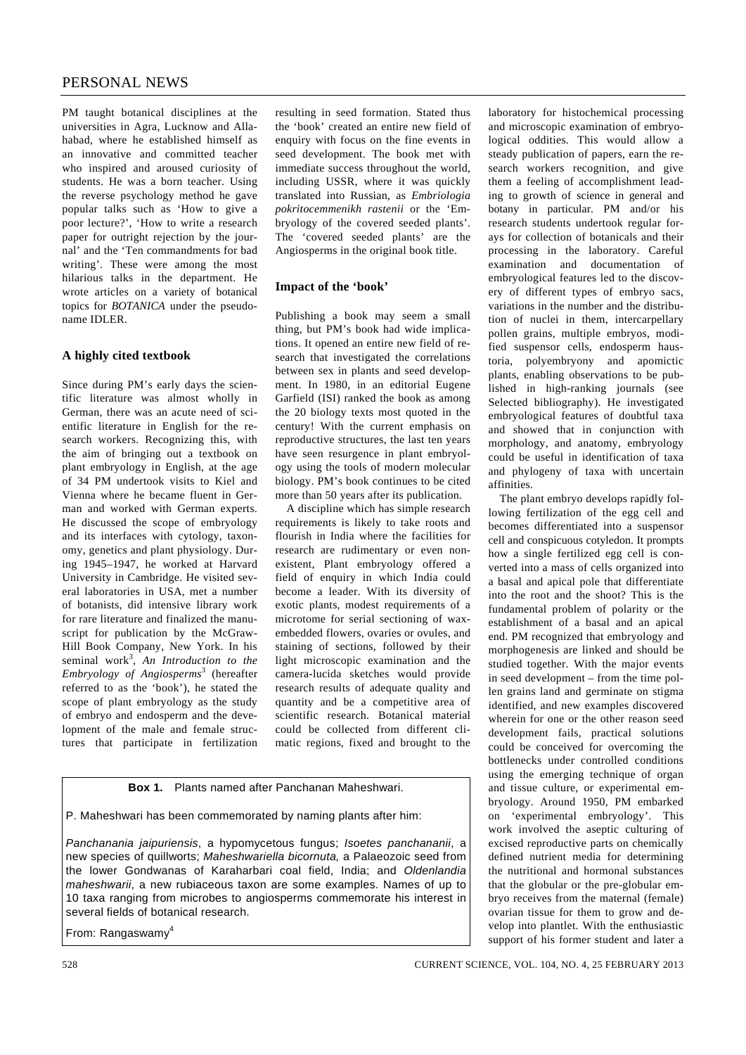# PERSONAL NEWS

PM taught botanical disciplines at the universities in Agra, Lucknow and Allahabad, where he established himself as an innovative and committed teacher who inspired and aroused curiosity of students. He was a born teacher. Using the reverse psychology method he gave popular talks such as 'How to give a poor lecture?', 'How to write a research paper for outright rejection by the journal' and the 'Ten commandments for bad writing'. These were among the most hilarious talks in the department. He wrote articles on a variety of botanical topics for *BOTANICA* under the pseudoname IDLER.

# **A highly cited textbook**

Since during PM's early days the scientific literature was almost wholly in German, there was an acute need of scientific literature in English for the research workers. Recognizing this, with the aim of bringing out a textbook on plant embryology in English, at the age of 34 PM undertook visits to Kiel and Vienna where he became fluent in German and worked with German experts. He discussed the scope of embryology and its interfaces with cytology, taxonomy, genetics and plant physiology. During 1945–1947, he worked at Harvard University in Cambridge. He visited several laboratories in USA, met a number of botanists, did intensive library work for rare literature and finalized the manuscript for publication by the McGraw-Hill Book Company, New York. In his seminal work<sup>3</sup>, An Introduction to the *Embryology of Angiosperms*<sup>3</sup> (hereafter referred to as the 'book'), he stated the scope of plant embryology as the study of embryo and endosperm and the development of the male and female structures that participate in fertilization

resulting in seed formation. Stated thus the 'book' created an entire new field of enquiry with focus on the fine events in seed development. The book met with immediate success throughout the world, including USSR, where it was quickly translated into Russian, as *Embriologia pokritocemmenikh rastenii* or the 'Embryology of the covered seeded plants'. The 'covered seeded plants' are the Angiosperms in the original book title.

# **Impact of the 'book'**

Publishing a book may seem a small thing, but PM's book had wide implications. It opened an entire new field of research that investigated the correlations between sex in plants and seed development. In 1980, in an editorial Eugene Garfield (ISI) ranked the book as among the 20 biology texts most quoted in the century! With the current emphasis on reproductive structures, the last ten years have seen resurgence in plant embryology using the tools of modern molecular biology. PM's book continues to be cited more than 50 years after its publication.

 A discipline which has simple research requirements is likely to take roots and flourish in India where the facilities for research are rudimentary or even nonexistent, Plant embryology offered a field of enquiry in which India could become a leader. With its diversity of exotic plants, modest requirements of a microtome for serial sectioning of waxembedded flowers, ovaries or ovules, and staining of sections, followed by their light microscopic examination and the camera-lucida sketches would provide research results of adequate quality and quantity and be a competitive area of scientific research. Botanical material could be collected from different climatic regions, fixed and brought to the

**Box 1.** Plants named after Panchanan Maheshwari.

P. Maheshwari has been commemorated by naming plants after him:

*Panchanania jaipuriensis*, a hypomycetous fungus; *Isoetes panchananii*, a new species of quillworts; *Maheshwariella bicornuta,* a Palaeozoic seed from the lower Gondwanas of Karaharbari coal field, India; and *Oldenlandia maheshwarii*, a new rubiaceous taxon are some examples. Names of up to 10 taxa ranging from microbes to angiosperms commemorate his interest in several fields of botanical research.

From: Rangaswamy<sup>4</sup>

and phylogeny of taxa with uncertain affinities. The plant embryo develops rapidly following fertilization of the egg cell and becomes differentiated into a suspensor cell and conspicuous cotyledon. It prompts how a single fertilized egg cell is converted into a mass of cells organized into a basal and apical pole that differentiate into the root and the shoot? This is the fundamental problem of polarity or the establishment of a basal and an apical end. PM recognized that embryology and morphogenesis are linked and should be studied together. With the major events in seed development – from the time pollen grains land and germinate on stigma identified, and new examples discovered

laboratory for histochemical processing and microscopic examination of embryological oddities. This would allow a steady publication of papers, earn the research workers recognition, and give them a feeling of accomplishment leading to growth of science in general and botany in particular. PM and/or his research students undertook regular forays for collection of botanicals and their processing in the laboratory. Careful examination and documentation of embryological features led to the discovery of different types of embryo sacs, variations in the number and the distribution of nuclei in them, intercarpellary pollen grains, multiple embryos, modified suspensor cells, endosperm haustoria, polyembryony and apomictic plants, enabling observations to be published in high-ranking journals (see Selected bibliography). He investigated embryological features of doubtful taxa and showed that in conjunction with morphology, and anatomy, embryology could be useful in identification of taxa

wherein for one or the other reason seed development fails, practical solutions could be conceived for overcoming the bottlenecks under controlled conditions using the emerging technique of organ and tissue culture, or experimental embryology. Around 1950, PM embarked on 'experimental embryology'. This work involved the aseptic culturing of excised reproductive parts on chemically defined nutrient media for determining the nutritional and hormonal substances that the globular or the pre-globular embryo receives from the maternal (female) ovarian tissue for them to grow and develop into plantlet. With the enthusiastic support of his former student and later a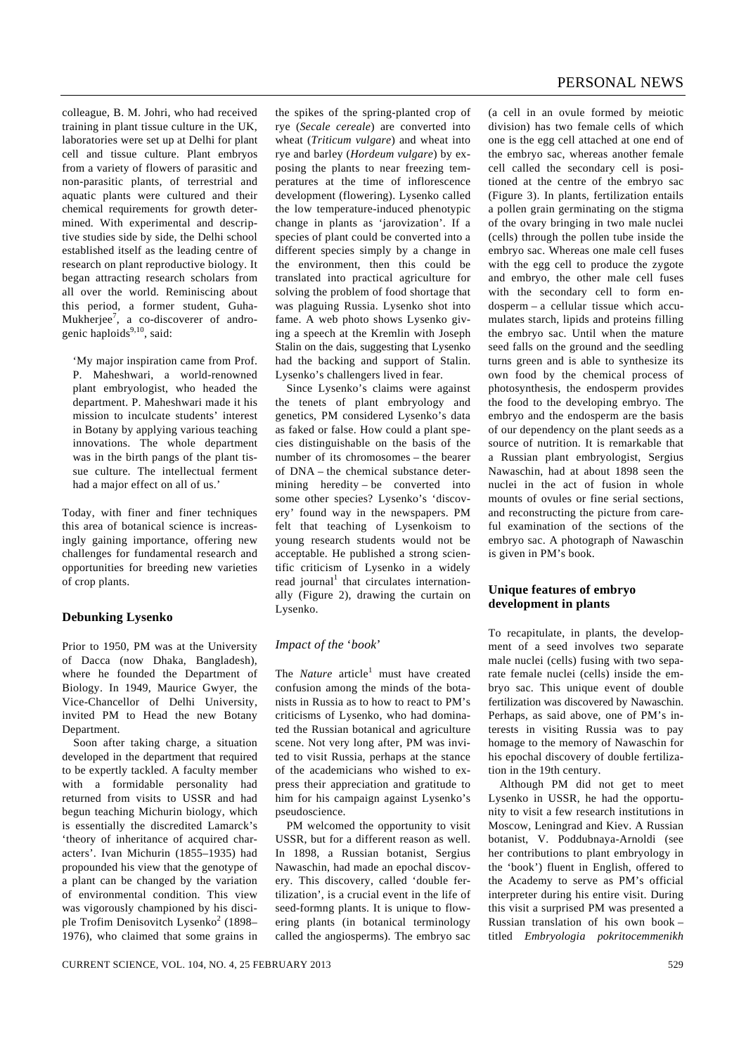colleague, B. M. Johri, who had received training in plant tissue culture in the UK, laboratories were set up at Delhi for plant cell and tissue culture. Plant embryos from a variety of flowers of parasitic and non-parasitic plants, of terrestrial and aquatic plants were cultured and their chemical requirements for growth determined. With experimental and descriptive studies side by side, the Delhi school established itself as the leading centre of research on plant reproductive biology. It began attracting research scholars from all over the world. Reminiscing about this period, a former student, Guha-Mukherjee<sup>7</sup>, a co-discoverer of androgenic haploids<sup>9,10</sup>, said:

'My major inspiration came from Prof. P. Maheshwari, a world-renowned plant embryologist, who headed the department. P. Maheshwari made it his mission to inculcate students' interest in Botany by applying various teaching innovations. The whole department was in the birth pangs of the plant tissue culture. The intellectual ferment had a major effect on all of us.'

Today, with finer and finer techniques this area of botanical science is increasingly gaining importance, offering new challenges for fundamental research and opportunities for breeding new varieties of crop plants.

### **Debunking Lysenko**

Prior to 1950, PM was at the University of Dacca (now Dhaka, Bangladesh), where he founded the Department of Biology. In 1949, Maurice Gwyer, the Vice-Chancellor of Delhi University, invited PM to Head the new Botany Department.

 Soon after taking charge, a situation developed in the department that required to be expertly tackled. A faculty member with a formidable personality had returned from visits to USSR and had begun teaching Michurin biology, which is essentially the discredited Lamarck's 'theory of inheritance of acquired characters'. Ivan Michurin (1855–1935) had propounded his view that the genotype of a plant can be changed by the variation of environmental condition. This view was vigorously championed by his disciple Trofim Denisovitch Lysenko<sup>2</sup> (1898– 1976), who claimed that some grains in

the spikes of the spring-planted crop of rye (*Secale cereale*) are converted into wheat (*Triticum vulgare*) and wheat into rye and barley (*Hordeum vulgare*) by exposing the plants to near freezing temperatures at the time of inflorescence development (flowering). Lysenko called the low temperature-induced phenotypic change in plants as 'jarovization'. If a species of plant could be converted into a different species simply by a change in the environment, then this could be translated into practical agriculture for solving the problem of food shortage that was plaguing Russia. Lysenko shot into fame. A web photo shows Lysenko giving a speech at the Kremlin with Joseph Stalin on the dais, suggesting that Lysenko had the backing and support of Stalin. Lysenko's challengers lived in fear.

 Since Lysenko's claims were against the tenets of plant embryology and genetics, PM considered Lysenko's data as faked or false. How could a plant species distinguishable on the basis of the number of its chromosomes – the bearer of DNA – the chemical substance determining heredity – be converted into some other species? Lysenko's 'discovery' found way in the newspapers. PM felt that teaching of Lysenkoism to young research students would not be acceptable. He published a strong scientific criticism of Lysenko in a widely read journal<sup>1</sup> that circulates internationally (Figure 2), drawing the curtain on Lysenko.

### *Impact of the* '*book*'

The *Nature* article<sup>1</sup> must have created confusion among the minds of the botanists in Russia as to how to react to PM's criticisms of Lysenko, who had dominated the Russian botanical and agriculture scene. Not very long after, PM was invited to visit Russia, perhaps at the stance of the academicians who wished to express their appreciation and gratitude to him for his campaign against Lysenko's pseudoscience.

 PM welcomed the opportunity to visit USSR, but for a different reason as well. In 1898, a Russian botanist, Sergius Nawaschin, had made an epochal discovery*.* This discovery, called 'double fertilization', is a crucial event in the life of seed-formng plants. It is unique to flowering plants (in botanical terminology called the angiosperms). The embryo sac

(a cell in an ovule formed by meiotic division) has two female cells of which one is the egg cell attached at one end of the embryo sac, whereas another female cell called the secondary cell is positioned at the centre of the embryo sac (Figure 3). In plants, fertilization entails a pollen grain germinating on the stigma of the ovary bringing in two male nuclei (cells) through the pollen tube inside the embryo sac. Whereas one male cell fuses with the egg cell to produce the zygote and embryo, the other male cell fuses with the secondary cell to form endosperm – a cellular tissue which accumulates starch, lipids and proteins filling the embryo sac. Until when the mature seed falls on the ground and the seedling turns green and is able to synthesize its own food by the chemical process of photosynthesis, the endosperm provides the food to the developing embryo. The embryo and the endosperm are the basis of our dependency on the plant seeds as a source of nutrition. It is remarkable that a Russian plant embryologist, Sergius Nawaschin, had at about 1898 seen the nuclei in the act of fusion in whole mounts of ovules or fine serial sections, and reconstructing the picture from careful examination of the sections of the embryo sac. A photograph of Nawaschin is given in PM's book.

### **Unique features of embryo development in plants**

To recapitulate, in plants, the development of a seed involves two separate male nuclei (cells) fusing with two separate female nuclei (cells) inside the embryo sac. This unique event of double fertilization was discovered by Nawaschin. Perhaps, as said above, one of PM's interests in visiting Russia was to pay homage to the memory of Nawaschin for his epochal discovery of double fertilization in the 19th century.

 Although PM did not get to meet Lysenko in USSR, he had the opportunity to visit a few research institutions in Moscow, Leningrad and Kiev. A Russian botanist, V. Poddubnaya-Arnoldi (see her contributions to plant embryology in the 'book') fluent in English, offered to the Academy to serve as PM's official interpreter during his entire visit. During this visit a surprised PM was presented a Russian translation of his own book – titled *Embryologia pokritocemmenikh*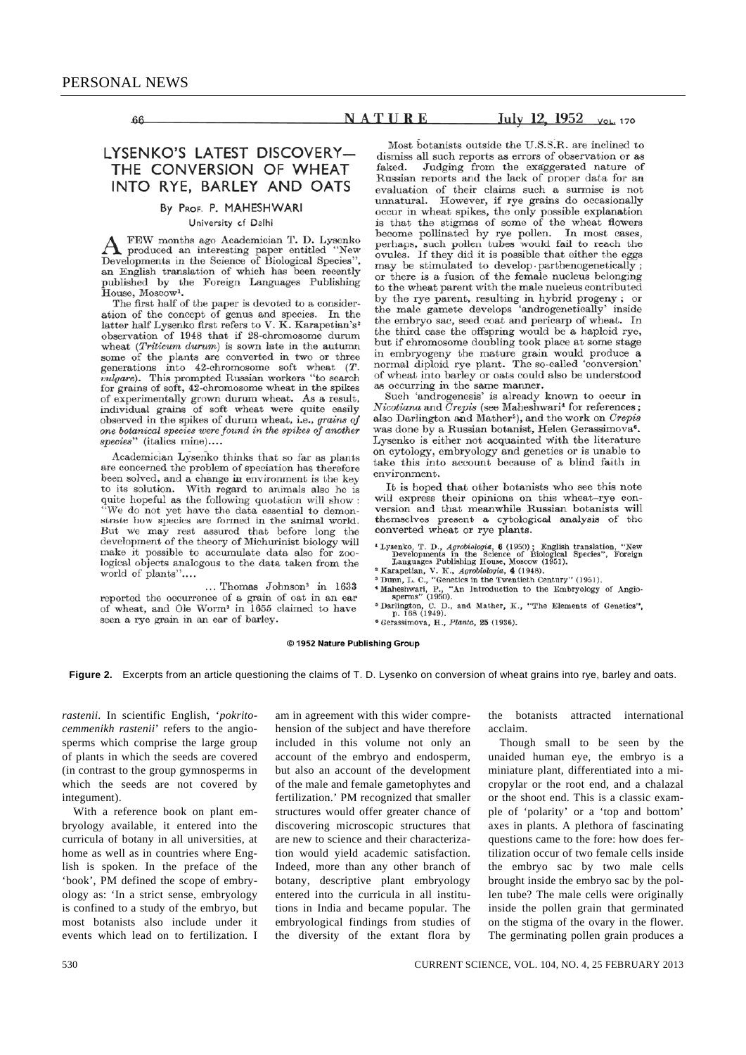66

# NATURE

### July 12, 1952 VOL. 170

# LYSENKO'S LATEST DISCOVERY-THE CONVERSION OF WHEAT INTO RYE, BARLEY AND OATS

### By PROF. P. MAHESHWARI University of Delhi

FEW months ago Academician T. D. Lysenko A FEW months ago Academician 1. D. Lysenko<br>Developments in the Science of Biological Species", an English translation of which has been recently published by the Foreign Languages Publishing<br>House, Moscow<sup>1</sup>.

The first half of the paper is devoted to a consideration of the concept of genus and species. In the latter half Lysenko first refers to V. K. Karapetian's<sup>2</sup> observation of 1948 that if 28-chromosome durum wheat (Triticum durum) is sown late in the autumn some of the plants are converted in two or three generations into 42-chromosome soft wheat  $(T$ . vulgare). This prompted Russian workers "to search baryon, This promptor a residual method of experimentally grown durum wheat. As a result, individual grains of soft wheat were quite easily observed in the spikes of durum wheat, i.e., grains of one botanical species were found in the spikes of another species" (italics mine)....

Academician Lysenko thinks that so far as plants are concerned the problem of speciation has therefore been solved, and a change in environment is the key to its solution. With regard to animals also he is quite hopeful as the following quotation will show:<br>"We do not yet have the data essential to demonstrate how species are formed in the animal world. But we may rest assured that before long the development of the theory of Michurinist biology will make it possible to accumulate data also for zoological objects analogous to the data taken from the world of plants"....

... Thomas Johnson<sup>3</sup> in 1633 reported the occurrence of a grain of oat in an ear of wheat, and Ole Worm<sup>3</sup> in 1655 claimed to have seen a rye grain in an ear of barley.

Most botanists outside the U.S.S.R. are inclined to dismiss all such reports as errors of observation or as faked. Judging from the exaggerated nature of Russian reports and the lack of proper data for an evaluation of their claims such a surmise is not unnatural. However, if rye grains do occasionally occur in wheat spikes, the only possible explanation<br>is that the stigmas of some of the wheat flowers become pollinated by rye pollen. In most cases, perhaps, such pollen tubes would fail to reach the ovules. If they did it is possible that either the eggs may be stimulated to develop parthenogenetically; or there is a fusion of the female nucleus belonging to the wheat parent with the male nucleus contributed by the rye parent, resulting in hybrid progeny; or the male gamete develops 'androgenetically' inside the embryo sac, seed coat and pericarp of wheat. In the third case the offspring would be a haploid rye, but if chromosome doubling took place at some stage in embryogeny the mature grain would produce a normal diploid rye plant. The so-called 'conversion' of wheat into barley or oats could also be understood as occurring in the same manner.

Such 'androgenesis' is already known to occur in Nicotiana and Crepis (see Maheshwari<sup>4</sup> for references; also Darlington and Mather<sup>5</sup>), and the work on Crepis was done by a Russian botanist, Helen Gerassimova<sup>6</sup>. Lysenko is either not acquainted with the literature on cytology, embryology and genetics or is unable to take this into account because of a blind faith in environment.

It is hoped that other botanists who see this note will express their opinions on this wheat-rye conversion and that meanwhile Russian botanists will themselves present a cytological analysis of the converted wheat or rye plants.

- <sup>1</sup> Lysenko, T. D., Agrobiologia, **6** (1950); English translation, "New Developments in the Science of Biological Species", Foreign Languages Publishing House, Moscow (1951).<br>
<sup>2</sup> Karapteian, V. K., Agrobiologia, 4 (1948)
- 
- 
- $\frac{1}{2}$  Darlington, C. D., and Mather, K., "The Elements of Genetics", p. 168 (1949).
- <sup>6</sup> Gerassimova, H., Planta, 25 (1936).

#### © 1952 Nature Publishing Group

**Figure 2.** Excerpts from an article questioning the claims of T. D. Lysenko on conversion of wheat grains into rye, barley and oats.

*rastenii*. In scientific English, '*pokritocemmenikh rastenii*' refers to the angiosperms which comprise the large group of plants in which the seeds are covered (in contrast to the group gymnosperms in which the seeds are not covered by integument).

 With a reference book on plant embryology available, it entered into the curricula of botany in all universities, at home as well as in countries where English is spoken. In the preface of the 'book', PM defined the scope of embryology as: 'In a strict sense, embryology is confined to a study of the embryo, but most botanists also include under it events which lead on to fertilization. I

am in agreement with this wider comprehension of the subject and have therefore included in this volume not only an account of the embryo and endosperm, but also an account of the development of the male and female gametophytes and fertilization.' PM recognized that smaller structures would offer greater chance of discovering microscopic structures that are new to science and their characterization would yield academic satisfaction. Indeed, more than any other branch of botany, descriptive plant embryology entered into the curricula in all institutions in India and became popular. The embryological findings from studies of the diversity of the extant flora by

the botanists attracted international acclaim.

 Though small to be seen by the unaided human eye, the embryo is a miniature plant, differentiated into a micropylar or the root end, and a chalazal or the shoot end. This is a classic example of 'polarity' or a 'top and bottom' axes in plants. A plethora of fascinating questions came to the fore: how does fertilization occur of two female cells inside the embryo sac by two male cells brought inside the embryo sac by the pollen tube? The male cells were originally inside the pollen grain that germinated on the stigma of the ovary in the flower. The germinating pollen grain produces a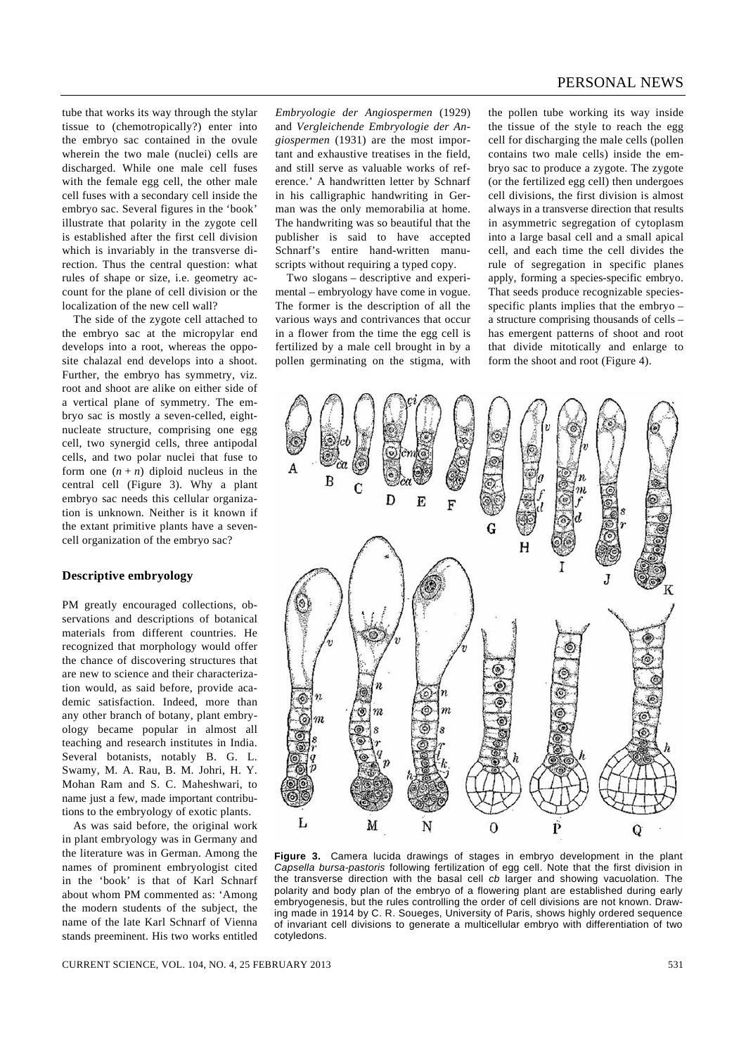tube that works its way through the stylar tissue to (chemotropically?) enter into the embryo sac contained in the ovule wherein the two male (nuclei) cells are discharged. While one male cell fuses with the female egg cell, the other male cell fuses with a secondary cell inside the embryo sac. Several figures in the 'book' illustrate that polarity in the zygote cell is established after the first cell division which is invariably in the transverse direction. Thus the central question: what rules of shape or size, i.e. geometry account for the plane of cell division or the localization of the new cell wall?

 The side of the zygote cell attached to the embryo sac at the micropylar end develops into a root, whereas the opposite chalazal end develops into a shoot. Further, the embryo has symmetry, viz. root and shoot are alike on either side of a vertical plane of symmetry. The embryo sac is mostly a seven-celled, eightnucleate structure, comprising one egg cell, two synergid cells, three antipodal cells, and two polar nuclei that fuse to form one  $(n + n)$  diploid nucleus in the central cell (Figure 3). Why a plant embryo sac needs this cellular organization is unknown. Neither is it known if the extant primitive plants have a sevencell organization of the embryo sac?

### **Descriptive embryology**

PM greatly encouraged collections, observations and descriptions of botanical materials from different countries. He recognized that morphology would offer the chance of discovering structures that are new to science and their characterization would, as said before, provide academic satisfaction. Indeed, more than any other branch of botany, plant embryology became popular in almost all teaching and research institutes in India. Several botanists, notably B. G. L. Swamy, M. A. Rau, B. M. Johri, H. Y. Mohan Ram and S. C. Maheshwari, to name just a few, made important contributions to the embryology of exotic plants.

 As was said before, the original work in plant embryology was in Germany and the literature was in German. Among the names of prominent embryologist cited in the 'book' is that of Karl Schnarf about whom PM commented as: 'Among the modern students of the subject, the name of the late Karl Schnarf of Vienna stands preeminent. His two works entitled

*Embryologie der Angiospermen* (1929) and *Vergleichende Embryologie der Angiospermen* (1931) are the most important and exhaustive treatises in the field, and still serve as valuable works of reference.' A handwritten letter by Schnarf in his calligraphic handwriting in German was the only memorabilia at home. The handwriting was so beautiful that the publisher is said to have accepted Schnarf's entire hand-written manuscripts without requiring a typed copy.

 Two slogans – descriptive and experimental – embryology have come in vogue. The former is the description of all the various ways and contrivances that occur in a flower from the time the egg cell is fertilized by a male cell brought in by a pollen germinating on the stigma, with the pollen tube working its way inside the tissue of the style to reach the egg cell for discharging the male cells (pollen contains two male cells) inside the embryo sac to produce a zygote. The zygote (or the fertilized egg cell) then undergoes cell divisions, the first division is almost always in a transverse direction that results in asymmetric segregation of cytoplasm into a large basal cell and a small apical cell, and each time the cell divides the rule of segregation in specific planes apply, forming a species-specific embryo. That seeds produce recognizable speciesspecific plants implies that the embryo – a structure comprising thousands of cells – has emergent patterns of shoot and root that divide mitotically and enlarge to form the shoot and root (Figure 4).



**Figure 3.** Camera lucida drawings of stages in embryo development in the plant *Capsella bursa-pastoris* following fertilization of egg cell. Note that the first division in the transverse direction with the basal cell *cb* larger and showing vacuolation. The polarity and body plan of the embryo of a flowering plant are established during early embryogenesis, but the rules controlling the order of cell divisions are not known. Drawing made in 1914 by C. R. Soueges, University of Paris, shows highly ordered sequence of invariant cell divisions to generate a multicellular embryo with differentiation of two cotyledons.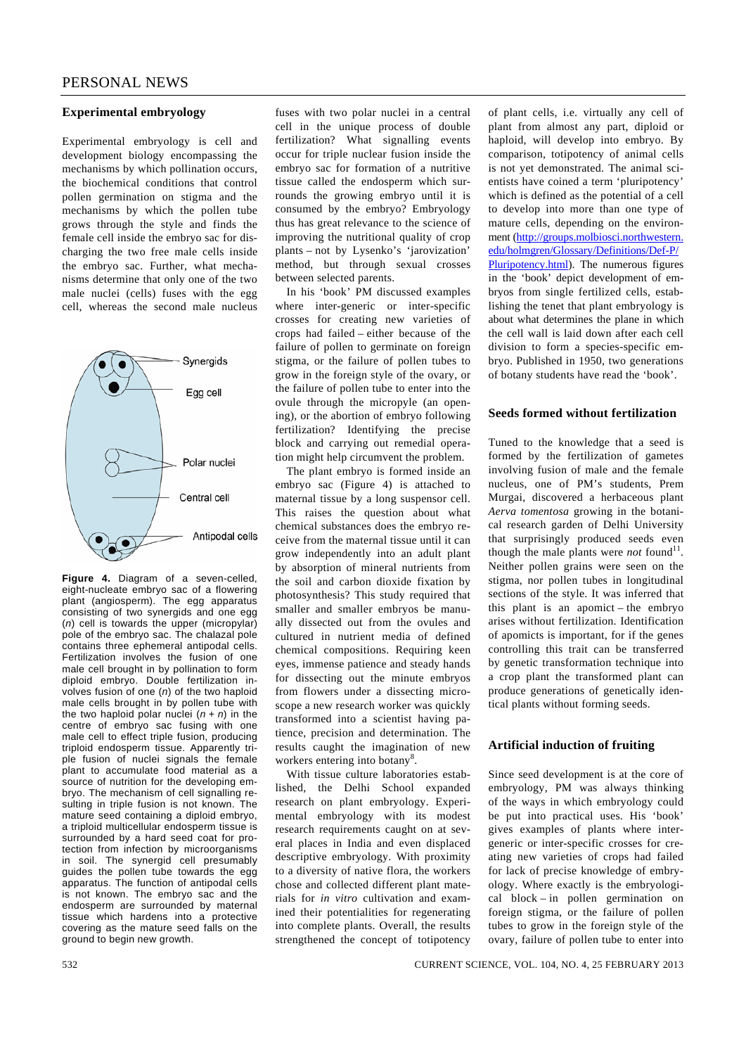# **Experimental embryology**

Experimental embryology is cell and development biology encompassing the mechanisms by which pollination occurs, the biochemical conditions that control pollen germination on stigma and the mechanisms by which the pollen tube grows through the style and finds the female cell inside the embryo sac for discharging the two free male cells inside the embryo sac. Further, what mechanisms determine that only one of the two male nuclei (cells) fuses with the egg cell, whereas the second male nucleus



**Figure 4.** Diagram of a seven-celled, eight-nucleate embryo sac of a flowering plant (angiosperm). The egg apparatus consisting of two synergids and one egg (*n*) cell is towards the upper (micropylar) pole of the embryo sac. The chalazal pole contains three ephemeral antipodal cells. Fertilization involves the fusion of one male cell brought in by pollination to form diploid embryo. Double fertilization involves fusion of one (*n*) of the two haploid male cells brought in by pollen tube with the two haploid polar nuclei  $(n + n)$  in the centre of embryo sac fusing with one male cell to effect triple fusion, producing triploid endosperm tissue. Apparently triple fusion of nuclei signals the female plant to accumulate food material as a source of nutrition for the developing embryo. The mechanism of cell signalling resulting in triple fusion is not known. The mature seed containing a diploid embryo, a triploid multicellular endosperm tissue is surrounded by a hard seed coat for protection from infection by microorganisms in soil. The synergid cell presumably guides the pollen tube towards the egg apparatus. The function of antipodal cells is not known. The embryo sac and the endosperm are surrounded by maternal tissue which hardens into a protective covering as the mature seed falls on the ground to begin new growth.

fuses with two polar nuclei in a central cell in the unique process of double fertilization? What signalling events occur for triple nuclear fusion inside the embryo sac for formation of a nutritive tissue called the endosperm which surrounds the growing embryo until it is consumed by the embryo? Embryology thus has great relevance to the science of improving the nutritional quality of crop plants – not by Lysenko's 'jarovization' method, but through sexual crosses between selected parents.

 In his 'book' PM discussed examples where inter-generic or inter-specific crosses for creating new varieties of crops had failed – either because of the failure of pollen to germinate on foreign stigma, or the failure of pollen tubes to grow in the foreign style of the ovary, or the failure of pollen tube to enter into the ovule through the micropyle (an opening), or the abortion of embryo following fertilization? Identifying the precise block and carrying out remedial operation might help circumvent the problem.

 The plant embryo is formed inside an embryo sac (Figure 4) is attached to maternal tissue by a long suspensor cell. This raises the question about what chemical substances does the embryo receive from the maternal tissue until it can grow independently into an adult plant by absorption of mineral nutrients from the soil and carbon dioxide fixation by photosynthesis? This study required that smaller and smaller embryos be manually dissected out from the ovules and cultured in nutrient media of defined chemical compositions. Requiring keen eyes, immense patience and steady hands for dissecting out the minute embryos from flowers under a dissecting microscope a new research worker was quickly transformed into a scientist having patience, precision and determination. The results caught the imagination of new workers entering into botany<sup>8</sup>.

 With tissue culture laboratories established, the Delhi School expanded research on plant embryology. Experimental embryology with its modest research requirements caught on at several places in India and even displaced descriptive embryology. With proximity to a diversity of native flora, the workers chose and collected different plant materials for *in vitro* cultivation and examined their potentialities for regenerating into complete plants. Overall, the results strengthened the concept of totipotency of plant cells, i.e. virtually any cell of plant from almost any part, diploid or haploid, will develop into embryo. By comparison, totipotency of animal cells is not yet demonstrated. The animal scientists have coined a term 'pluripotency' which is defined as the potential of a cell to develop into more than one type of mature cells, depending on the environment (http://groups.molbiosci.northwestern. edu/holmgren/Glossary/Definitions/Def-P/ Pluripotency.html). The numerous figures in the 'book' depict development of embryos from single fertilized cells, establishing the tenet that plant embryology is about what determines the plane in which the cell wall is laid down after each cell division to form a species-specific embryo. Published in 1950, two generations of botany students have read the 'book'.

#### **Seeds formed without fertilization**

Tuned to the knowledge that a seed is formed by the fertilization of gametes involving fusion of male and the female nucleus, one of PM's students, Prem Murgai, discovered a herbaceous plant *Aerva tomentosa* growing in the botanical research garden of Delhi University that surprisingly produced seeds even though the male plants were *not* found<sup>11</sup>. Neither pollen grains were seen on the stigma, nor pollen tubes in longitudinal sections of the style. It was inferred that this plant is an apomict – the embryo arises without fertilization. Identification of apomicts is important, for if the genes controlling this trait can be transferred by genetic transformation technique into a crop plant the transformed plant can produce generations of genetically identical plants without forming seeds.

# **Artificial induction of fruiting**

Since seed development is at the core of embryology, PM was always thinking of the ways in which embryology could be put into practical uses. His 'book' gives examples of plants where intergeneric or inter-specific crosses for creating new varieties of crops had failed for lack of precise knowledge of embryology. Where exactly is the embryological block – in pollen germination on foreign stigma, or the failure of pollen tubes to grow in the foreign style of the ovary, failure of pollen tube to enter into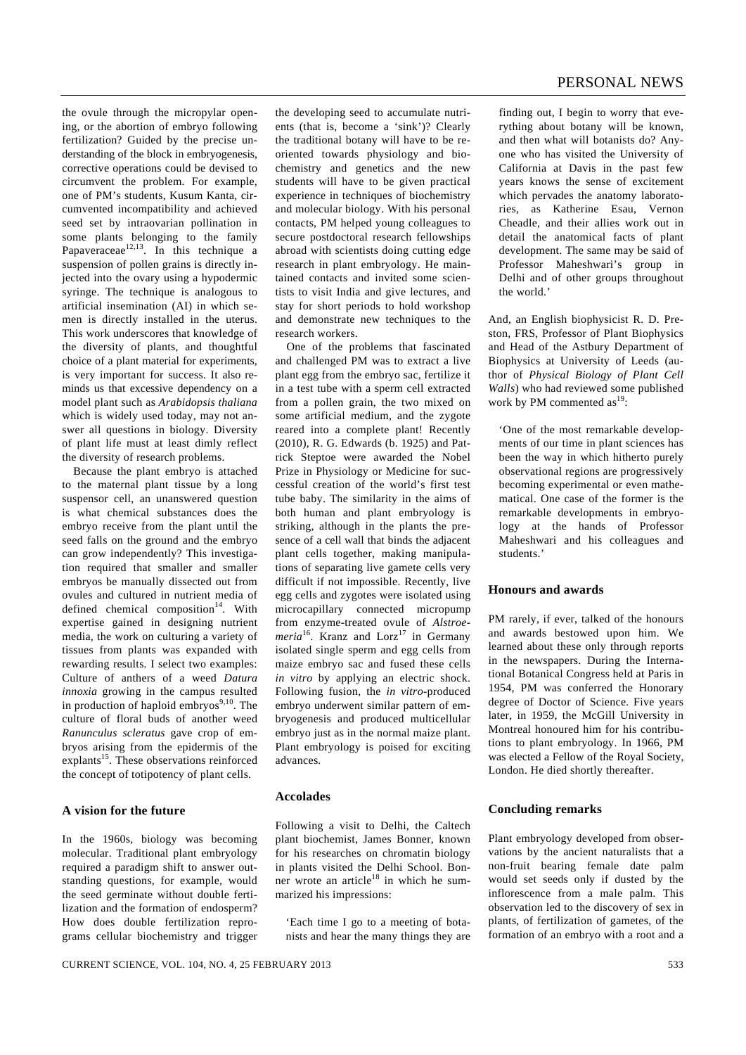the ovule through the micropylar opening, or the abortion of embryo following fertilization? Guided by the precise understanding of the block in embryogenesis, corrective operations could be devised to circumvent the problem. For example, one of PM's students, Kusum Kanta, circumvented incompatibility and achieved seed set by intraovarian pollination in some plants belonging to the family Papaveraceae<sup>12,13</sup>. In this technique a suspension of pollen grains is directly injected into the ovary using a hypodermic syringe. The technique is analogous to artificial insemination (AI) in which semen is directly installed in the uterus. This work underscores that knowledge of the diversity of plants, and thoughtful choice of a plant material for experiments, is very important for success. It also reminds us that excessive dependency on a model plant such as *Arabidopsis thaliana*  which is widely used today, may not answer all questions in biology. Diversity of plant life must at least dimly reflect the diversity of research problems.

 Because the plant embryo is attached to the maternal plant tissue by a long suspensor cell, an unanswered question is what chemical substances does the embryo receive from the plant until the seed falls on the ground and the embryo can grow independently? This investigation required that smaller and smaller embryos be manually dissected out from ovules and cultured in nutrient media of defined chemical composition $14$ . With expertise gained in designing nutrient media, the work on culturing a variety of tissues from plants was expanded with rewarding results. I select two examples: Culture of anthers of a weed *Datura innoxia* growing in the campus resulted in production of haploid embryos $9,10$ . The culture of floral buds of another weed *Ranunculus scleratus* gave crop of embryos arising from the epidermis of the explants<sup>15</sup>. These observations reinforced the concept of totipotency of plant cells.

# **A vision for the future**

In the 1960s, biology was becoming molecular. Traditional plant embryology required a paradigm shift to answer outstanding questions, for example, would the seed germinate without double fertilization and the formation of endosperm? How does double fertilization reprograms cellular biochemistry and trigger

the developing seed to accumulate nutrients (that is, become a 'sink')? Clearly the traditional botany will have to be reoriented towards physiology and biochemistry and genetics and the new students will have to be given practical experience in techniques of biochemistry and molecular biology. With his personal contacts, PM helped young colleagues to secure postdoctoral research fellowships abroad with scientists doing cutting edge research in plant embryology. He maintained contacts and invited some scientists to visit India and give lectures, and stay for short periods to hold workshop and demonstrate new techniques to the research workers.

 One of the problems that fascinated and challenged PM was to extract a live plant egg from the embryo sac, fertilize it in a test tube with a sperm cell extracted from a pollen grain, the two mixed on some artificial medium, and the zygote reared into a complete plant! Recently (2010), R. G. Edwards (b. 1925) and Patrick Steptoe were awarded the Nobel Prize in Physiology or Medicine for successful creation of the world's first test tube baby. The similarity in the aims of both human and plant embryology is striking, although in the plants the presence of a cell wall that binds the adjacent plant cells together, making manipulations of separating live gamete cells very difficult if not impossible. Recently, live egg cells and zygotes were isolated using microcapillary connected micropump from enzyme-treated ovule of *Alstroemeria*<sup>16</sup>. Kranz and Lorz<sup>17</sup> in Germany isolated single sperm and egg cells from maize embryo sac and fused these cells *in vitro* by applying an electric shock. Following fusion, the *in vitro-*produced embryo underwent similar pattern of embryogenesis and produced multicellular embryo just as in the normal maize plant. Plant embryology is poised for exciting advances.

#### **Accolades**

Following a visit to Delhi, the Caltech plant biochemist, James Bonner, known for his researches on chromatin biology in plants visited the Delhi School. Bonner wrote an article $18$  in which he summarized his impressions:

'Each time I go to a meeting of botanists and hear the many things they are finding out, I begin to worry that everything about botany will be known, and then what will botanists do? Anyone who has visited the University of California at Davis in the past few years knows the sense of excitement which pervades the anatomy laboratories, as Katherine Esau, Vernon Cheadle, and their allies work out in detail the anatomical facts of plant development. The same may be said of Professor Maheshwari's group in Delhi and of other groups throughout the world.'

And, an English biophysicist R. D. Preston, FRS, Professor of Plant Biophysics and Head of the Astbury Department of Biophysics at University of Leeds (author of *Physical Biology of Plant Cell Walls*) who had reviewed some published work by PM commented  $as<sup>19</sup>$ :

'One of the most remarkable developments of our time in plant sciences has been the way in which hitherto purely observational regions are progressively becoming experimental or even mathematical. One case of the former is the remarkable developments in embryology at the hands of Professor Maheshwari and his colleagues and students.'

### **Honours and awards**

PM rarely, if ever, talked of the honours and awards bestowed upon him. We learned about these only through reports in the newspapers. During the International Botanical Congress held at Paris in 1954, PM was conferred the Honorary degree of Doctor of Science. Five years later, in 1959, the McGill University in Montreal honoured him for his contributions to plant embryology. In 1966, PM was elected a Fellow of the Royal Society, London. He died shortly thereafter.

#### **Concluding remarks**

Plant embryology developed from observations by the ancient naturalists that a non-fruit bearing female date palm would set seeds only if dusted by the inflorescence from a male palm. This observation led to the discovery of sex in plants, of fertilization of gametes, of the formation of an embryo with a root and a